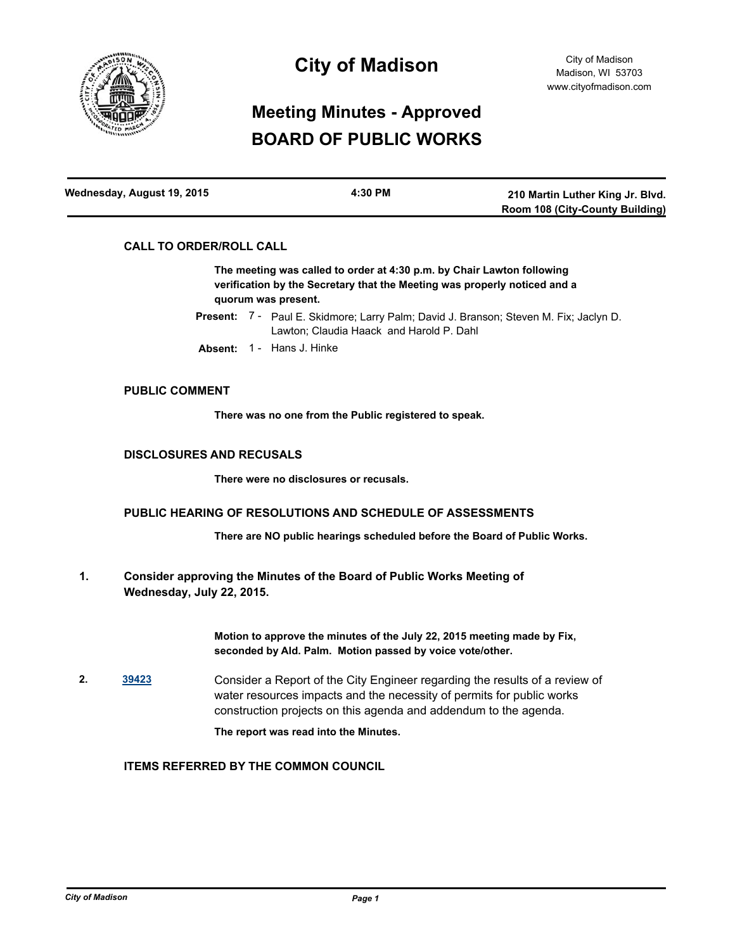

# **City of Madison**

# **Meeting Minutes - Approved BOARD OF PUBLIC WORKS**

| Wednesday, August 19, 2015 | 4:30 PM | 210 Martin Luther King Jr. Blvd. |
|----------------------------|---------|----------------------------------|
|                            |         | Room 108 (City-County Building)  |

# **CALL TO ORDER/ROLL CALL**

**The meeting was called to order at 4:30 p.m. by Chair Lawton following verification by the Secretary that the Meeting was properly noticed and a quorum was present.**

Present: 7 - Paul E. Skidmore; Larry Palm; David J. Branson; Steven M. Fix; Jaclyn D. Lawton; Claudia Haack and Harold P. Dahl

**Absent:** 1 - Hans J. Hinke

## **PUBLIC COMMENT**

**There was no one from the Public registered to speak.**

# **DISCLOSURES AND RECUSALS**

**There were no disclosures or recusals.**

#### **PUBLIC HEARING OF RESOLUTIONS AND SCHEDULE OF ASSESSMENTS**

**There are NO public hearings scheduled before the Board of Public Works.**

**Consider approving the Minutes of the Board of Public Works Meeting of Wednesday, July 22, 2015. 1.**

> **Motion to approve the minutes of the July 22, 2015 meeting made by Fix, seconded by Ald. Palm. Motion passed by voice vote/other.**

**2. [39423](http://madison.legistar.com/gateway.aspx?m=l&id=/matter.aspx?key=43001)** Consider a Report of the City Engineer regarding the results of a review of water resources impacts and the necessity of permits for public works construction projects on this agenda and addendum to the agenda.

**The report was read into the Minutes.**

# **ITEMS REFERRED BY THE COMMON COUNCIL**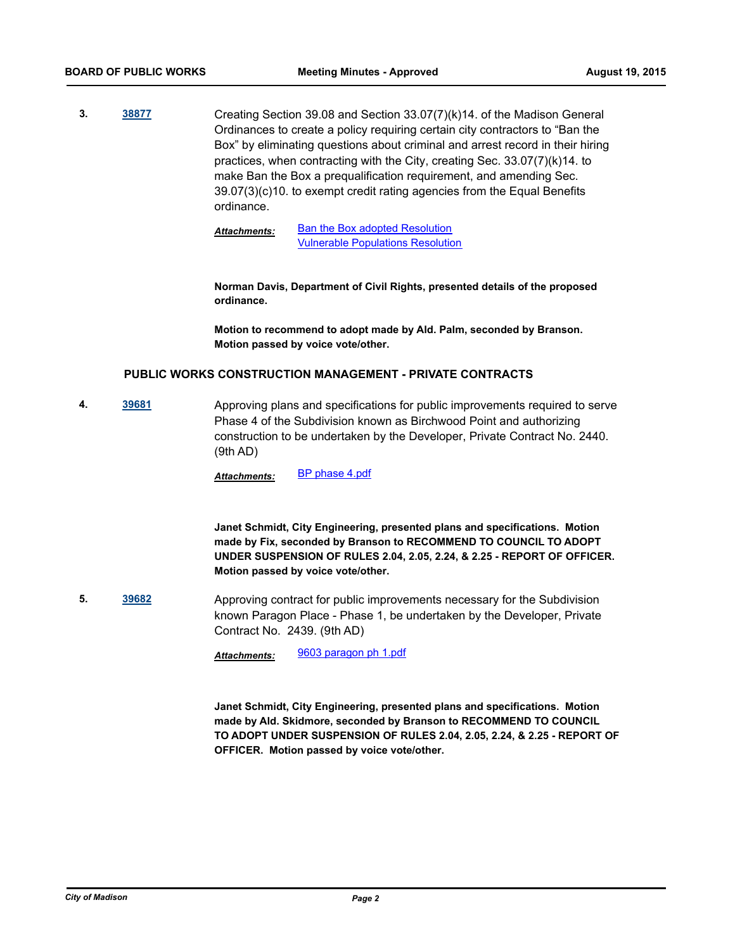**3. [38877](http://madison.legistar.com/gateway.aspx?m=l&id=/matter.aspx?key=41511)** Creating Section 39.08 and Section 33.07(7)(k)14. of the Madison General Ordinances to create a policy requiring certain city contractors to "Ban the Box" by eliminating questions about criminal and arrest record in their hiring practices, when contracting with the City, creating Sec. 33.07(7)(k)14. to make Ban the Box a prequalification requirement, and amending Sec. 39.07(3)(c)10. to exempt credit rating agencies from the Equal Benefits ordinance.

> [Ban the Box adopted Resolution](http://madison.legistar.com/gateway.aspx?M=F&ID=05228230-17e4-4cf0-b37d-86b9bfb9f040.pdf) [Vulnerable Populations Resolution](http://madison.legistar.com/gateway.aspx?M=F&ID=ecba0260-4cca-48bb-85c3-fd9169699a6a.pdf) *Attachments:*

**Norman Davis, Department of Civil Rights, presented details of the proposed ordinance.** 

**Motion to recommend to adopt made by Ald. Palm, seconded by Branson. Motion passed by voice vote/other.**

#### **PUBLIC WORKS CONSTRUCTION MANAGEMENT - PRIVATE CONTRACTS**

**4. [39681](http://madison.legistar.com/gateway.aspx?m=l&id=/matter.aspx?key=43247)** Approving plans and specifications for public improvements required to serve Phase 4 of the Subdivision known as Birchwood Point and authorizing construction to be undertaken by the Developer, Private Contract No. 2440. (9th AD)

*Attachments:* [BP phase 4.pdf](http://madison.legistar.com/gateway.aspx?M=F&ID=39efb299-ce45-4c48-b2c9-fd640a8315b2.pdf)

**Janet Schmidt, City Engineering, presented plans and specifications. Motion made by Fix, seconded by Branson to RECOMMEND TO COUNCIL TO ADOPT UNDER SUSPENSION OF RULES 2.04, 2.05, 2.24, & 2.25 - REPORT OF OFFICER. Motion passed by voice vote/other.**

**5. [39682](http://madison.legistar.com/gateway.aspx?m=l&id=/matter.aspx?key=43248)** Approving contract for public improvements necessary for the Subdivision known Paragon Place - Phase 1, be undertaken by the Developer, Private Contract No. 2439. (9th AD)

*Attachments:* [9603 paragon ph 1.pdf](http://madison.legistar.com/gateway.aspx?M=F&ID=ffd3f539-6660-4fd1-b556-fb52779ad699.pdf)

**Janet Schmidt, City Engineering, presented plans and specifications. Motion made by Ald. Skidmore, seconded by Branson to RECOMMEND TO COUNCIL TO ADOPT UNDER SUSPENSION OF RULES 2.04, 2.05, 2.24, & 2.25 - REPORT OF OFFICER. Motion passed by voice vote/other.**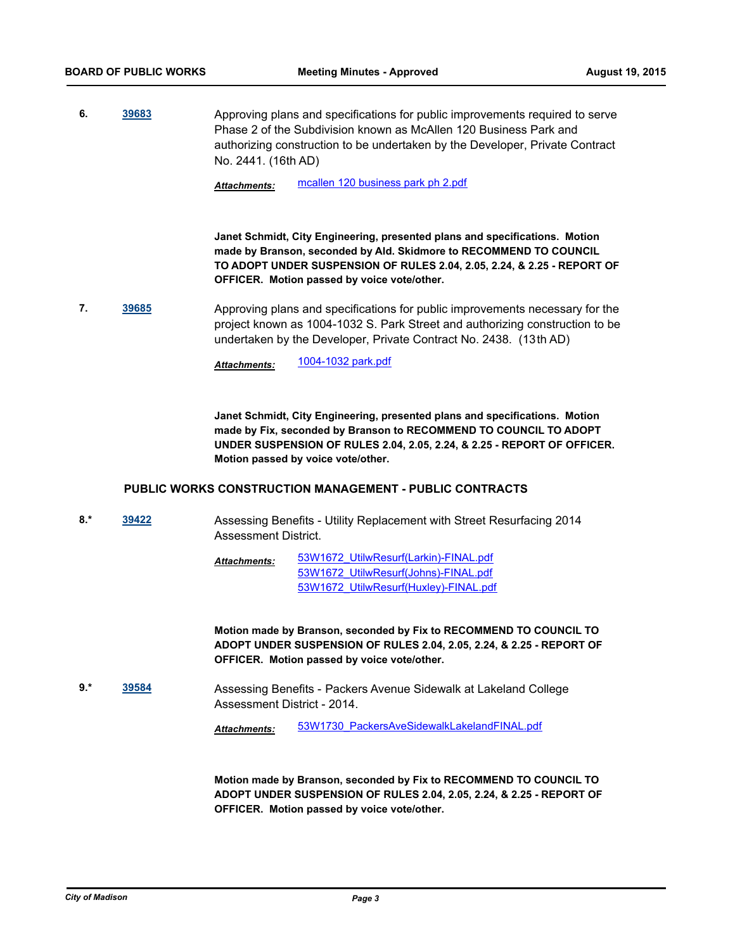**6. [39683](http://madison.legistar.com/gateway.aspx?m=l&id=/matter.aspx?key=43249)** Approving plans and specifications for public improvements required to serve Phase 2 of the Subdivision known as McAllen 120 Business Park and authorizing construction to be undertaken by the Developer, Private Contract No. 2441. (16th AD)

*Attachments:* [mcallen 120 business park ph 2.pdf](http://madison.legistar.com/gateway.aspx?M=F&ID=32e65ee6-bb6e-40fa-9077-576e6563ae36.pdf)

**Janet Schmidt, City Engineering, presented plans and specifications. Motion made by Branson, seconded by Ald. Skidmore to RECOMMEND TO COUNCIL TO ADOPT UNDER SUSPENSION OF RULES 2.04, 2.05, 2.24, & 2.25 - REPORT OF OFFICER. Motion passed by voice vote/other.**

**7. [39685](http://madison.legistar.com/gateway.aspx?m=l&id=/matter.aspx?key=43251)** Approving plans and specifications for public improvements necessary for the project known as 1004-1032 S. Park Street and authorizing construction to be undertaken by the Developer, Private Contract No. 2438. (13th AD)

*Attachments:* [1004-1032 park.pdf](http://madison.legistar.com/gateway.aspx?M=F&ID=2e0077be-13b7-4618-95a8-873d2afbd511.pdf)

**Janet Schmidt, City Engineering, presented plans and specifications. Motion made by Fix, seconded by Branson to RECOMMEND TO COUNCIL TO ADOPT UNDER SUSPENSION OF RULES 2.04, 2.05, 2.24, & 2.25 - REPORT OF OFFICER. Motion passed by voice vote/other.**

#### **PUBLIC WORKS CONSTRUCTION MANAGEMENT - PUBLIC CONTRACTS**

**8.\* [39422](http://madison.legistar.com/gateway.aspx?m=l&id=/matter.aspx?key=43000)** Assessing Benefits - Utility Replacement with Street Resurfacing 2014 Assessment District.

> [53W1672\\_UtilwResurf\(Larkin\)-FINAL.pdf](http://madison.legistar.com/gateway.aspx?M=F&ID=97e1d1c7-2a84-4796-9ee1-5452ab3def06.pdf) [53W1672\\_UtilwResurf\(Johns\)-FINAL.pdf](http://madison.legistar.com/gateway.aspx?M=F&ID=7019fb3f-f0b4-467c-bf15-db3b254ec4b1.pdf) [53W1672\\_UtilwResurf\(Huxley\)-FINAL.pdf](http://madison.legistar.com/gateway.aspx?M=F&ID=b21253b4-3b02-4676-a43d-c80445d1a364.pdf) *Attachments:*

**Motion made by Branson, seconded by Fix to RECOMMEND TO COUNCIL TO ADOPT UNDER SUSPENSION OF RULES 2.04, 2.05, 2.24, & 2.25 - REPORT OF OFFICER. Motion passed by voice vote/other.**

**9.\* [39584](http://madison.legistar.com/gateway.aspx?m=l&id=/matter.aspx?key=43152)** Assessing Benefits - Packers Avenue Sidewalk at Lakeland College Assessment District - 2014.

*Attachments:* [53W1730\\_PackersAveSidewalkLakelandFINAL.pdf](http://madison.legistar.com/gateway.aspx?M=F&ID=b40f0efa-029a-488d-86c7-2a930ba485c7.pdf)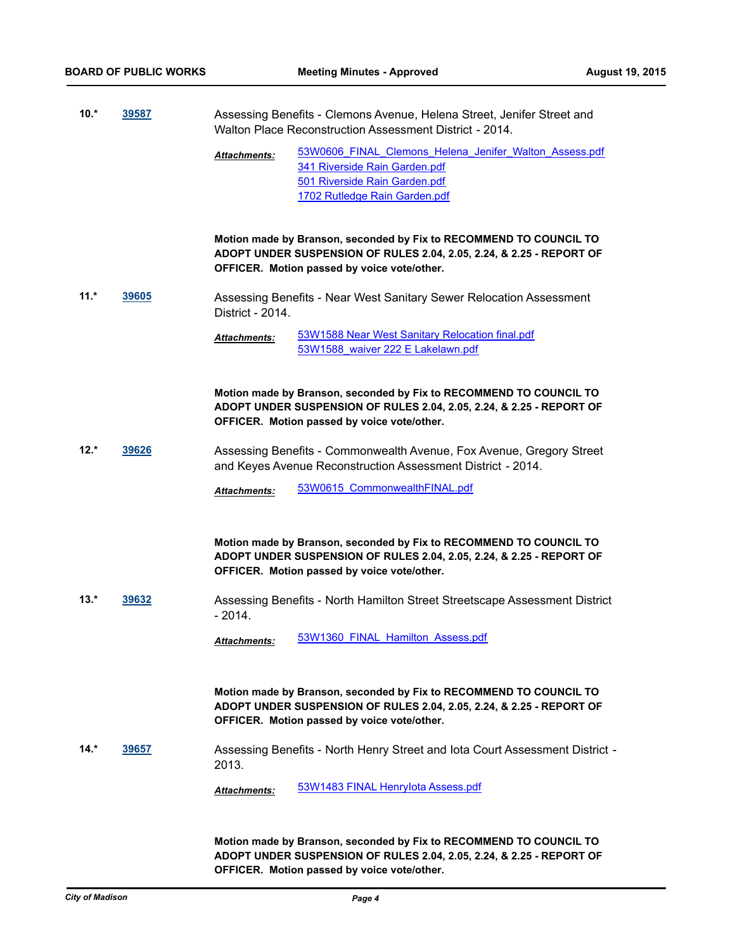| $10.*$ | 39587<br>______ | Assessing Benefits - Clemons Avenue, Helena Street, Jenifer Street and |
|--------|-----------------|------------------------------------------------------------------------|
|        |                 | Walton Place Reconstruction Assessment District - 2014.                |

[53W0606\\_FINAL\\_Clemons\\_Helena\\_Jenifer\\_Walton\\_Assess.pdf](http://madison.legistar.com/gateway.aspx?M=F&ID=06d04524-634a-4aa1-a28f-4561b15ea1f9.pdf) [341 Riverside Rain Garden.pdf](http://madison.legistar.com/gateway.aspx?M=F&ID=a9cc73f5-4e5d-414b-89be-210196027702.pdf) [501 Riverside Rain Garden.pdf](http://madison.legistar.com/gateway.aspx?M=F&ID=307bbe3c-bcc7-4a4a-b83d-85cf81680310.pdf) [1702 Rutledge Rain Garden.pdf](http://madison.legistar.com/gateway.aspx?M=F&ID=a3e30a9c-235d-4e59-bed8-b613c4429fb8.pdf) *Attachments:*

**Motion made by Branson, seconded by Fix to RECOMMEND TO COUNCIL TO ADOPT UNDER SUSPENSION OF RULES 2.04, 2.05, 2.24, & 2.25 - REPORT OF OFFICER. Motion passed by voice vote/other.**

**11.\* [39605](http://madison.legistar.com/gateway.aspx?m=l&id=/matter.aspx?key=43171)** Assessing Benefits - Near West Sanitary Sewer Relocation Assessment District - 2014.

> [53W1588 Near West Sanitary Relocation final.pdf](http://madison.legistar.com/gateway.aspx?M=F&ID=5f13ca13-d664-40b0-8438-944f6773db61.pdf) [53W1588\\_waiver 222 E Lakelawn.pdf](http://madison.legistar.com/gateway.aspx?M=F&ID=42743f5c-e801-4309-8d2c-096d24eaded5.pdf) *Attachments:*

**Motion made by Branson, seconded by Fix to RECOMMEND TO COUNCIL TO ADOPT UNDER SUSPENSION OF RULES 2.04, 2.05, 2.24, & 2.25 - REPORT OF OFFICER. Motion passed by voice vote/other.**

**12.\* [39626](http://madison.legistar.com/gateway.aspx?m=l&id=/matter.aspx?key=43192)** Assessing Benefits - Commonwealth Avenue, Fox Avenue, Gregory Street and Keyes Avenue Reconstruction Assessment District - 2014.

Attachments: [53W0615\\_CommonwealthFINAL.pdf](http://madison.legistar.com/gateway.aspx?M=F&ID=59b3a0f0-7a4e-42bc-b77a-8cd8e43afe09.pdf)

**Motion made by Branson, seconded by Fix to RECOMMEND TO COUNCIL TO ADOPT UNDER SUSPENSION OF RULES 2.04, 2.05, 2.24, & 2.25 - REPORT OF OFFICER. Motion passed by voice vote/other.**

**13.\* [39632](http://madison.legistar.com/gateway.aspx?m=l&id=/matter.aspx?key=43198)** Assessing Benefits - North Hamilton Street Streetscape Assessment District - 2014.

*Attachments:* [53W1360\\_FINAL\\_Hamilton\\_Assess.pdf](http://madison.legistar.com/gateway.aspx?M=F&ID=c2a3b800-4988-4adf-b968-3995f0b42ba7.pdf)

**Motion made by Branson, seconded by Fix to RECOMMEND TO COUNCIL TO ADOPT UNDER SUSPENSION OF RULES 2.04, 2.05, 2.24, & 2.25 - REPORT OF OFFICER. Motion passed by voice vote/other.**

**14.\* [39657](http://madison.legistar.com/gateway.aspx?m=l&id=/matter.aspx?key=43223)** Assessing Benefits - North Henry Street and Iota Court Assessment District - 2013.

*Attachments:* [53W1483 FINAL HenryIota Assess.pdf](http://madison.legistar.com/gateway.aspx?M=F&ID=349144eb-c2a3-4e73-893a-6b439abf859f.pdf)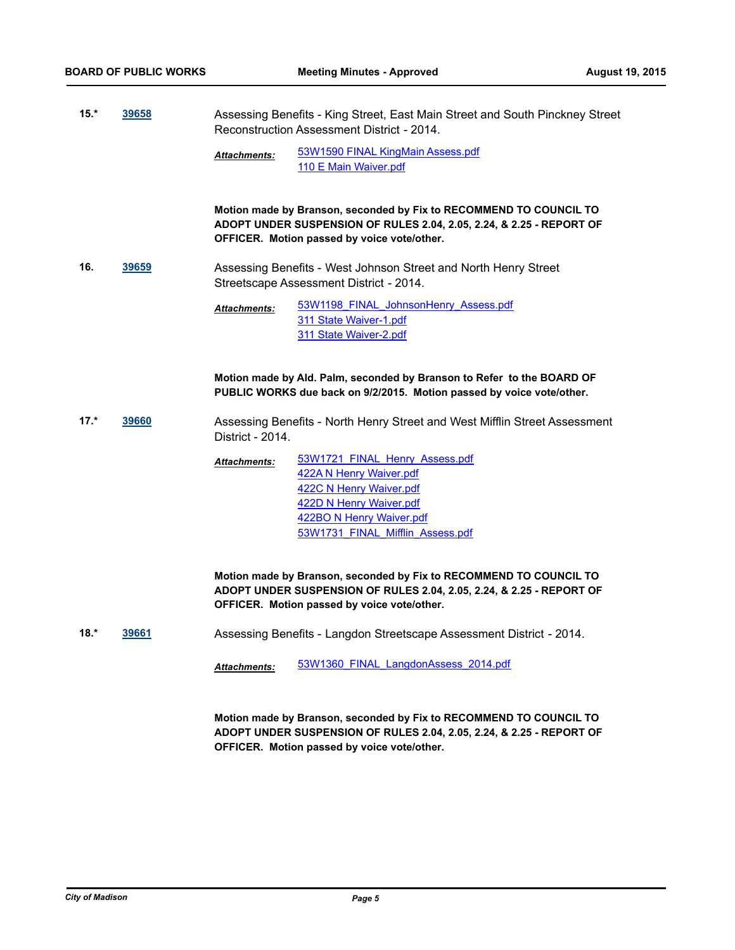**15.\* [39658](http://madison.legistar.com/gateway.aspx?m=l&id=/matter.aspx?key=43224)** Assessing Benefits - King Street, East Main Street and South Pinckney Street Reconstruction Assessment District - 2014.

> [53W1590 FINAL KingMain Assess.pdf](http://madison.legistar.com/gateway.aspx?M=F&ID=695f8455-3ec9-4fb6-a253-919f3c3c1f69.pdf) [110 E Main Waiver.pdf](http://madison.legistar.com/gateway.aspx?M=F&ID=746c4cff-112f-4ddd-9c04-b58c9eb41033.pdf) *Attachments:*

**Motion made by Branson, seconded by Fix to RECOMMEND TO COUNCIL TO ADOPT UNDER SUSPENSION OF RULES 2.04, 2.05, 2.24, & 2.25 - REPORT OF OFFICER. Motion passed by voice vote/other.**

**16. [39659](http://madison.legistar.com/gateway.aspx?m=l&id=/matter.aspx?key=43225)** Assessing Benefits - West Johnson Street and North Henry Street Streetscape Assessment District - 2014.

> [53W1198\\_FINAL\\_JohnsonHenry\\_Assess.pdf](http://madison.legistar.com/gateway.aspx?M=F&ID=5223568a-a123-4180-b31e-fc409db6ef3b.pdf) [311 State Waiver-1.pdf](http://madison.legistar.com/gateway.aspx?M=F&ID=bccb421d-b113-4bd4-9afe-6d1cfdfca5de.pdf) [311 State Waiver-2.pdf](http://madison.legistar.com/gateway.aspx?M=F&ID=76761a10-333c-4a08-9ee7-79f2ea521e38.pdf) *Attachments:*

**Motion made by Ald. Palm, seconded by Branson to Refer to the BOARD OF PUBLIC WORKS due back on 9/2/2015. Motion passed by voice vote/other.**

- **17.\* [39660](http://madison.legistar.com/gateway.aspx?m=l&id=/matter.aspx?key=43226)** Assessing Benefits North Henry Street and West Mifflin Street Assessment District - 2014.
	- [53W1721\\_FINAL\\_Henry\\_Assess.pdf](http://madison.legistar.com/gateway.aspx?M=F&ID=dc22d0dc-e1b6-4591-9b17-f6e31d9feb52.pdf) [422A N Henry Waiver.pdf](http://madison.legistar.com/gateway.aspx?M=F&ID=29c1b98a-6019-48c0-9e7a-6d8e7b2b0631.pdf) [422C N Henry Waiver.pdf](http://madison.legistar.com/gateway.aspx?M=F&ID=e355efbf-482b-4633-954b-2f7fa4cb7f2b.pdf) [422D N Henry Waiver.pdf](http://madison.legistar.com/gateway.aspx?M=F&ID=4107af5c-8e04-4d87-b95a-7c80c44ea025.pdf) [422BO N Henry Waiver.pdf](http://madison.legistar.com/gateway.aspx?M=F&ID=41914624-0e05-4fa3-8ae9-c1b6593bb1bc.pdf) [53W1731\\_FINAL\\_Mifflin\\_Assess.pdf](http://madison.legistar.com/gateway.aspx?M=F&ID=55113837-918a-4469-a7c8-858e7ba80713.pdf) *Attachments:*

**Motion made by Branson, seconded by Fix to RECOMMEND TO COUNCIL TO ADOPT UNDER SUSPENSION OF RULES 2.04, 2.05, 2.24, & 2.25 - REPORT OF OFFICER. Motion passed by voice vote/other.**

**18.\* [39661](http://madison.legistar.com/gateway.aspx?m=l&id=/matter.aspx?key=43227)** Assessing Benefits - Langdon Streetscape Assessment District - 2014.

*Attachments:* [53W1360\\_FINAL\\_LangdonAssess\\_2014.pdf](http://madison.legistar.com/gateway.aspx?M=F&ID=0d7500c3-5ef2-4f50-9484-9f9697034eb3.pdf)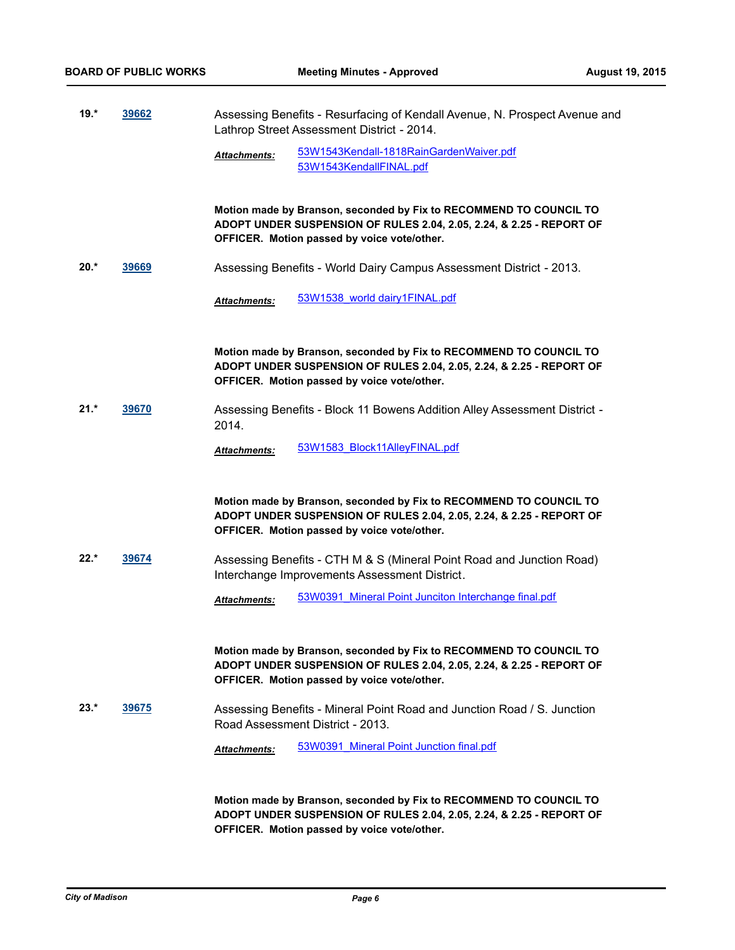**19.\* [39662](http://madison.legistar.com/gateway.aspx?m=l&id=/matter.aspx?key=43228)** Assessing Benefits - Resurfacing of Kendall Avenue, N. Prospect Avenue and Lathrop Street Assessment District - 2014.

> [53W1543Kendall-1818RainGardenWaiver.pdf](http://madison.legistar.com/gateway.aspx?M=F&ID=d9efcabf-cd8f-4556-b071-67adf3a7c036.pdf) [53W1543KendallFINAL.pdf](http://madison.legistar.com/gateway.aspx?M=F&ID=3253607d-157c-401e-a73c-994b0d418770.pdf) *Attachments:*

**Motion made by Branson, seconded by Fix to RECOMMEND TO COUNCIL TO ADOPT UNDER SUSPENSION OF RULES 2.04, 2.05, 2.24, & 2.25 - REPORT OF OFFICER. Motion passed by voice vote/other.**

**20.\* [39669](http://madison.legistar.com/gateway.aspx?m=l&id=/matter.aspx?key=43235)** Assessing Benefits - World Dairy Campus Assessment District - 2013.

*Attachments:* [53W1538\\_world dairy1FINAL.pdf](http://madison.legistar.com/gateway.aspx?M=F&ID=e5797197-5123-41b6-9ec0-251dd1139d4f.pdf)

**Motion made by Branson, seconded by Fix to RECOMMEND TO COUNCIL TO ADOPT UNDER SUSPENSION OF RULES 2.04, 2.05, 2.24, & 2.25 - REPORT OF OFFICER. Motion passed by voice vote/other.**

**21.\* [39670](http://madison.legistar.com/gateway.aspx?m=l&id=/matter.aspx?key=43236)** Assessing Benefits - Block 11 Bowens Addition Alley Assessment District - 2014.

*Attachments:* [53W1583\\_Block11AlleyFINAL.pdf](http://madison.legistar.com/gateway.aspx?M=F&ID=3565fed3-5055-49cb-8a09-65eb65665402.pdf)

**Motion made by Branson, seconded by Fix to RECOMMEND TO COUNCIL TO ADOPT UNDER SUSPENSION OF RULES 2.04, 2.05, 2.24, & 2.25 - REPORT OF OFFICER. Motion passed by voice vote/other.**

**22.\* [39674](http://madison.legistar.com/gateway.aspx?m=l&id=/matter.aspx?key=43240)** Assessing Benefits - CTH M & S (Mineral Point Road and Junction Road) Interchange Improvements Assessment District.

*Attachments:* [53W0391\\_Mineral Point Junciton Interchange final.pdf](http://madison.legistar.com/gateway.aspx?M=F&ID=d65102c9-0131-4e22-b27d-d41d24e1e485.pdf)

**Motion made by Branson, seconded by Fix to RECOMMEND TO COUNCIL TO ADOPT UNDER SUSPENSION OF RULES 2.04, 2.05, 2.24, & 2.25 - REPORT OF OFFICER. Motion passed by voice vote/other.**

**23.\* [39675](http://madison.legistar.com/gateway.aspx?m=l&id=/matter.aspx?key=43241)** Assessing Benefits - Mineral Point Road and Junction Road / S. Junction Road Assessment District - 2013.

*Attachments:* [53W0391\\_Mineral Point Junction final.pdf](http://madison.legistar.com/gateway.aspx?M=F&ID=ee0f429f-418b-40a3-9972-8d349baad9e1.pdf)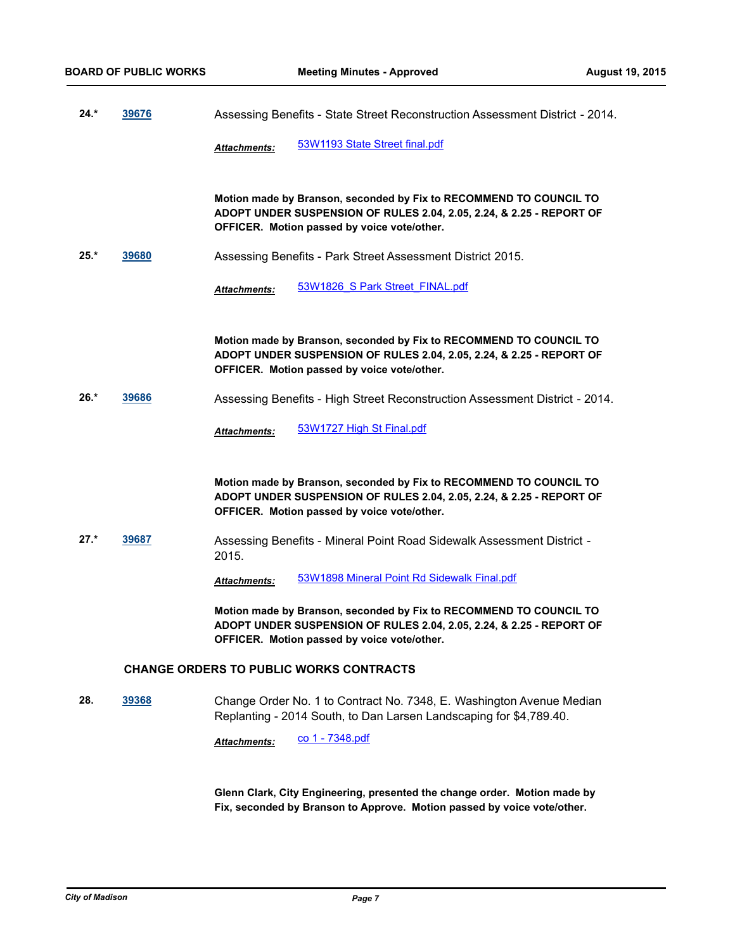**24.\* [39676](http://madison.legistar.com/gateway.aspx?m=l&id=/matter.aspx?key=43242)** Assessing Benefits - State Street Reconstruction Assessment District - 2014.

*Attachments:* [53W1193 State Street final.pdf](http://madison.legistar.com/gateway.aspx?M=F&ID=f0138f29-d5ac-44fa-90fb-67adbb813c2a.pdf)

**Motion made by Branson, seconded by Fix to RECOMMEND TO COUNCIL TO ADOPT UNDER SUSPENSION OF RULES 2.04, 2.05, 2.24, & 2.25 - REPORT OF OFFICER. Motion passed by voice vote/other.**

**25.\* [39680](http://madison.legistar.com/gateway.aspx?m=l&id=/matter.aspx?key=43246)** Assessing Benefits - Park Street Assessment District 2015.

*Attachments:* [53W1826\\_S Park Street\\_FINAL.pdf](http://madison.legistar.com/gateway.aspx?M=F&ID=1500416e-2bad-4754-94b8-f059169d0def.pdf)

**Motion made by Branson, seconded by Fix to RECOMMEND TO COUNCIL TO ADOPT UNDER SUSPENSION OF RULES 2.04, 2.05, 2.24, & 2.25 - REPORT OF OFFICER. Motion passed by voice vote/other.**

**26.\* [39686](http://madison.legistar.com/gateway.aspx?m=l&id=/matter.aspx?key=43252)** Assessing Benefits - High Street Reconstruction Assessment District - 2014.

*Attachments:* [53W1727 High St Final.pdf](http://madison.legistar.com/gateway.aspx?M=F&ID=5c762ac4-864f-42fb-bdd7-06831db5ae25.pdf)

**Motion made by Branson, seconded by Fix to RECOMMEND TO COUNCIL TO ADOPT UNDER SUSPENSION OF RULES 2.04, 2.05, 2.24, & 2.25 - REPORT OF OFFICER. Motion passed by voice vote/other.**

**27.\* [39687](http://madison.legistar.com/gateway.aspx?m=l&id=/matter.aspx?key=43253)** Assessing Benefits - Mineral Point Road Sidewalk Assessment District - 2015.

*Attachments:* [53W1898 Mineral Point Rd Sidewalk Final.pdf](http://madison.legistar.com/gateway.aspx?M=F&ID=56e187ef-ea53-4d62-ac6a-1553aab30047.pdf)

**Motion made by Branson, seconded by Fix to RECOMMEND TO COUNCIL TO ADOPT UNDER SUSPENSION OF RULES 2.04, 2.05, 2.24, & 2.25 - REPORT OF OFFICER. Motion passed by voice vote/other.**

#### **CHANGE ORDERS TO PUBLIC WORKS CONTRACTS**

**28. [39368](http://madison.legistar.com/gateway.aspx?m=l&id=/matter.aspx?key=42948)** Change Order No. 1 to Contract No. 7348, E. Washington Avenue Median Replanting - 2014 South, to Dan Larsen Landscaping for \$4,789.40.

*Attachments:* [co 1 - 7348.pdf](http://madison.legistar.com/gateway.aspx?M=F&ID=36e218ec-5f31-42ee-b7b6-2fc63eb4f9d7.pdf)

**Glenn Clark, City Engineering, presented the change order. Motion made by Fix, seconded by Branson to Approve. Motion passed by voice vote/other.**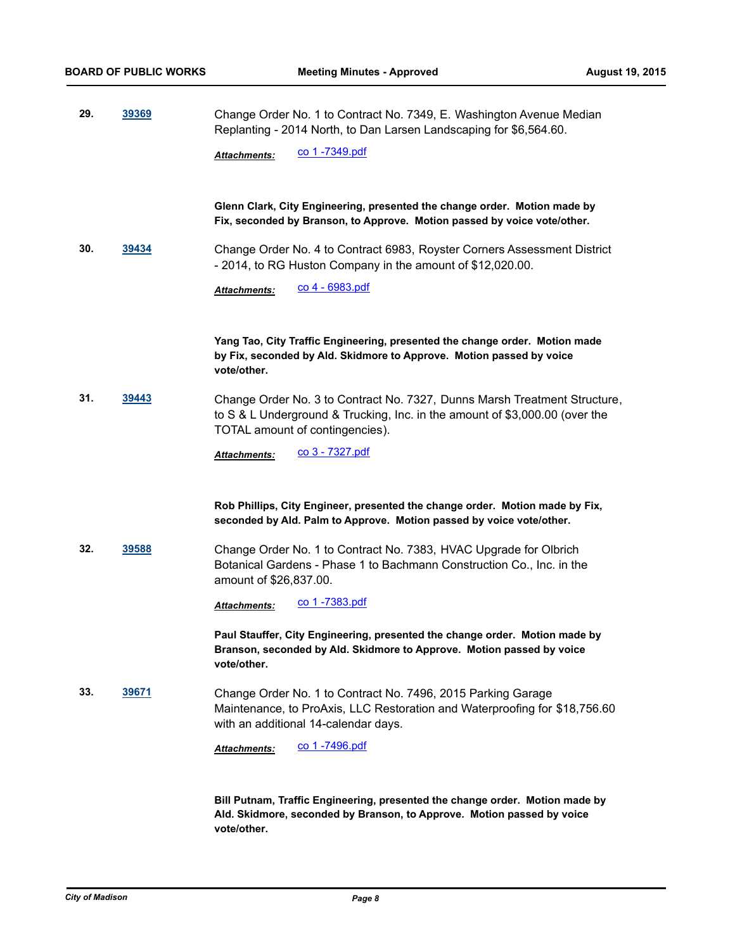**29. [39369](http://madison.legistar.com/gateway.aspx?m=l&id=/matter.aspx?key=42949)** Change Order No. 1 to Contract No. 7349, E. Washington Avenue Median Replanting - 2014 North, to Dan Larsen Landscaping for \$6,564.60.

Attachments: CO 1 -7349.pdf

### **Glenn Clark, City Engineering, presented the change order. Motion made by Fix, seconded by Branson, to Approve. Motion passed by voice vote/other.**

**30. [39434](http://madison.legistar.com/gateway.aspx?m=l&id=/matter.aspx?key=43012)** Change Order No. 4 to Contract 6983, Royster Corners Assessment District - 2014, to RG Huston Company in the amount of \$12,020.00.

*Attachments:* [co 4 - 6983.pdf](http://madison.legistar.com/gateway.aspx?M=F&ID=b5e86c12-2bc7-43ec-981c-8110e961e58e.pdf)

**Yang Tao, City Traffic Engineering, presented the change order. Motion made by Fix, seconded by Ald. Skidmore to Approve. Motion passed by voice vote/other.**

**31. [39443](http://madison.legistar.com/gateway.aspx?m=l&id=/matter.aspx?key=43021)** Change Order No. 3 to Contract No. 7327, Dunns Marsh Treatment Structure, to S & L Underground & Trucking, Inc. in the amount of \$3,000.00 (over the TOTAL amount of contingencies).

*Attachments:* [co 3 - 7327.pdf](http://madison.legistar.com/gateway.aspx?M=F&ID=ca52c1f9-1c01-45ca-8909-9d4fd059cccb.pdf)

#### **Rob Phillips, City Engineer, presented the change order. Motion made by Fix, seconded by Ald. Palm to Approve. Motion passed by voice vote/other.**

**32. [39588](http://madison.legistar.com/gateway.aspx?m=l&id=/matter.aspx?key=43156)** Change Order No. 1 to Contract No. 7383, HVAC Upgrade for Olbrich Botanical Gardens - Phase 1 to Bachmann Construction Co., Inc. in the amount of \$26,837.00.

Attachments: CO 1 -7383.pdf

**Paul Stauffer, City Engineering, presented the change order. Motion made by Branson, seconded by Ald. Skidmore to Approve. Motion passed by voice vote/other.**

**33. [39671](http://madison.legistar.com/gateway.aspx?m=l&id=/matter.aspx?key=43237)** Change Order No. 1 to Contract No. 7496, 2015 Parking Garage Maintenance, to ProAxis, LLC Restoration and Waterproofing for \$18,756.60 with an additional 14-calendar days.

Attachments: CO 1 -7496.pdf

**Bill Putnam, Traffic Engineering, presented the change order. Motion made by Ald. Skidmore, seconded by Branson, to Approve. Motion passed by voice vote/other.**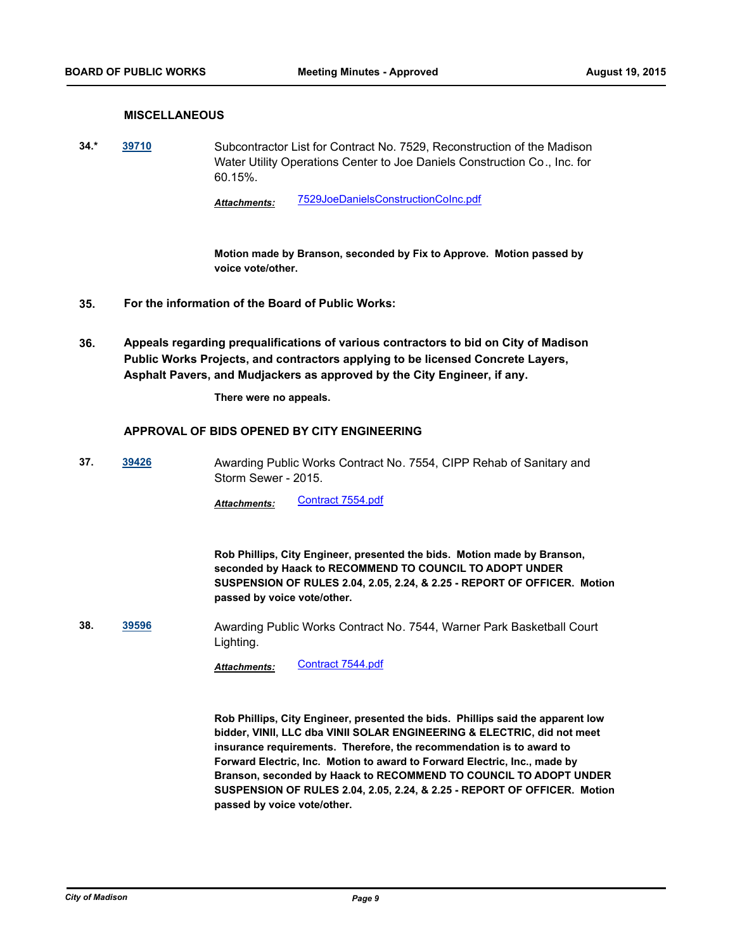# **MISCELLANEOUS**

**34.\* [39710](http://madison.legistar.com/gateway.aspx?m=l&id=/matter.aspx?key=43270)** Subcontractor List for Contract No. 7529, Reconstruction of the Madison Water Utility Operations Center to Joe Daniels Construction Co., Inc. for 60.15%.

*Attachments:* [7529JoeDanielsConstructionCoInc.pdf](http://madison.legistar.com/gateway.aspx?M=F&ID=7be24eac-b73c-48f5-b0d0-d67ca0a27344.pdf)

**Motion made by Branson, seconded by Fix to Approve. Motion passed by voice vote/other.**

- **35. For the information of the Board of Public Works:**
- **Appeals regarding prequalifications of various contractors to bid on City of Madison Public Works Projects, and contractors applying to be licensed Concrete Layers, Asphalt Pavers, and Mudjackers as approved by the City Engineer, if any. 36.**

**There were no appeals.**

#### **APPROVAL OF BIDS OPENED BY CITY ENGINEERING**

**37. [39426](http://madison.legistar.com/gateway.aspx?m=l&id=/matter.aspx?key=43004)** Awarding Public Works Contract No. 7554, CIPP Rehab of Sanitary and Storm Sewer - 2015.

Attachments: [Contract 7554.pdf](http://madison.legistar.com/gateway.aspx?M=F&ID=8fc0d9eb-3940-492a-92d6-e945a030c556.pdf)

**Rob Phillips, City Engineer, presented the bids. Motion made by Branson, seconded by Haack to RECOMMEND TO COUNCIL TO ADOPT UNDER SUSPENSION OF RULES 2.04, 2.05, 2.24, & 2.25 - REPORT OF OFFICER. Motion passed by voice vote/other.**

**38. [39596](http://madison.legistar.com/gateway.aspx?m=l&id=/matter.aspx?key=43164)** Awarding Public Works Contract No. 7544, Warner Park Basketball Court Lighting.

Attachments: [Contract 7544.pdf](http://madison.legistar.com/gateway.aspx?M=F&ID=5148a4a9-2cd1-41ce-9e8f-dda9f01aa52c.pdf)

**Rob Phillips, City Engineer, presented the bids. Phillips said the apparent low bidder, VINII, LLC dba VINII SOLAR ENGINEERING & ELECTRIC, did not meet insurance requirements. Therefore, the recommendation is to award to Forward Electric, Inc. Motion to award to Forward Electric, Inc., made by Branson, seconded by Haack to RECOMMEND TO COUNCIL TO ADOPT UNDER SUSPENSION OF RULES 2.04, 2.05, 2.24, & 2.25 - REPORT OF OFFICER. Motion passed by voice vote/other.**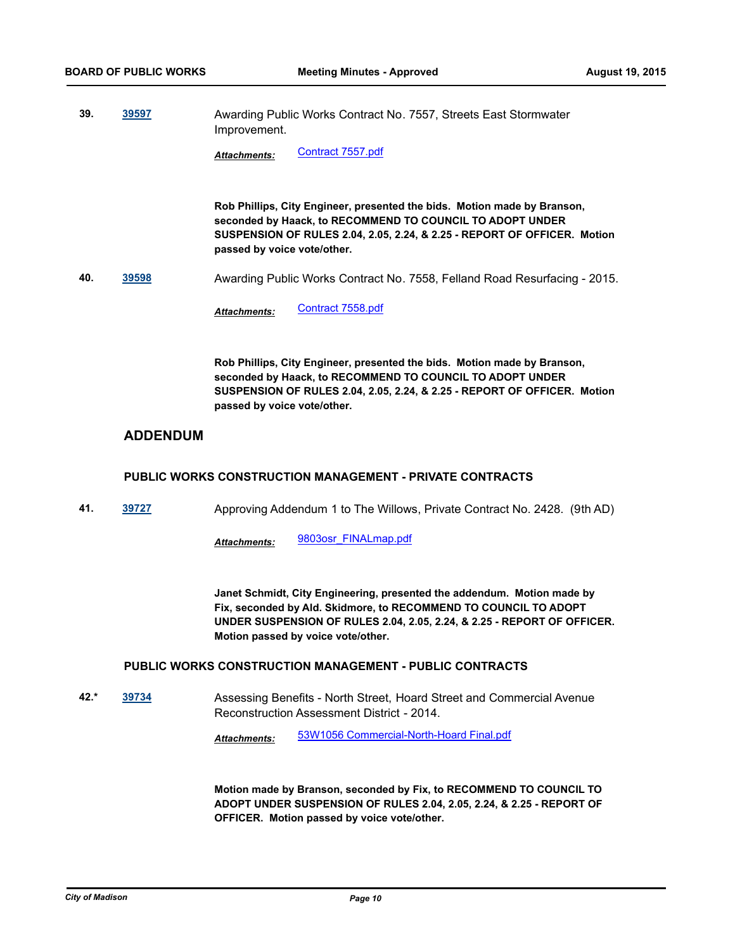**39. [39597](http://madison.legistar.com/gateway.aspx?m=l&id=/matter.aspx?key=43165)** Awarding Public Works Contract No. 7557, Streets East Stormwater Improvement.

Attachments: [Contract 7557.pdf](http://madison.legistar.com/gateway.aspx?M=F&ID=ee02aad7-dfe1-47b0-9ed4-2d7313f94398.pdf)

**Rob Phillips, City Engineer, presented the bids. Motion made by Branson, seconded by Haack, to RECOMMEND TO COUNCIL TO ADOPT UNDER SUSPENSION OF RULES 2.04, 2.05, 2.24, & 2.25 - REPORT OF OFFICER. Motion passed by voice vote/other.**

**40. [39598](http://madison.legistar.com/gateway.aspx?m=l&id=/matter.aspx?key=43166)** Awarding Public Works Contract No. 7558, Felland Road Resurfacing - 2015.

Attachments: [Contract 7558.pdf](http://madison.legistar.com/gateway.aspx?M=F&ID=b042699c-83ea-4507-8b55-19b091bbf437.pdf)

**Rob Phillips, City Engineer, presented the bids. Motion made by Branson, seconded by Haack, to RECOMMEND TO COUNCIL TO ADOPT UNDER SUSPENSION OF RULES 2.04, 2.05, 2.24, & 2.25 - REPORT OF OFFICER. Motion passed by voice vote/other.**

# **ADDENDUM**

#### **PUBLIC WORKS CONSTRUCTION MANAGEMENT - PRIVATE CONTRACTS**

**41. [39727](http://madison.legistar.com/gateway.aspx?m=l&id=/matter.aspx?key=43287)** Approving Addendum 1 to The Willows, Private Contract No. 2428. (9th AD)

*Attachments:* [9803osr\\_FINALmap.pdf](http://madison.legistar.com/gateway.aspx?M=F&ID=4e4da7d1-8ea9-4a5f-8697-ad061f2db34e.pdf)

**Janet Schmidt, City Engineering, presented the addendum. Motion made by Fix, seconded by Ald. Skidmore, to RECOMMEND TO COUNCIL TO ADOPT UNDER SUSPENSION OF RULES 2.04, 2.05, 2.24, & 2.25 - REPORT OF OFFICER. Motion passed by voice vote/other.**

### **PUBLIC WORKS CONSTRUCTION MANAGEMENT - PUBLIC CONTRACTS**

**42.\* [39734](http://madison.legistar.com/gateway.aspx?m=l&id=/matter.aspx?key=43294)** Assessing Benefits - North Street, Hoard Street and Commercial Avenue Reconstruction Assessment District - 2014.

*Attachments:* [53W1056 Commercial-North-Hoard Final.pdf](http://madison.legistar.com/gateway.aspx?M=F&ID=c3b41f50-ea4e-425c-8351-57cf5798a0c1.pdf)